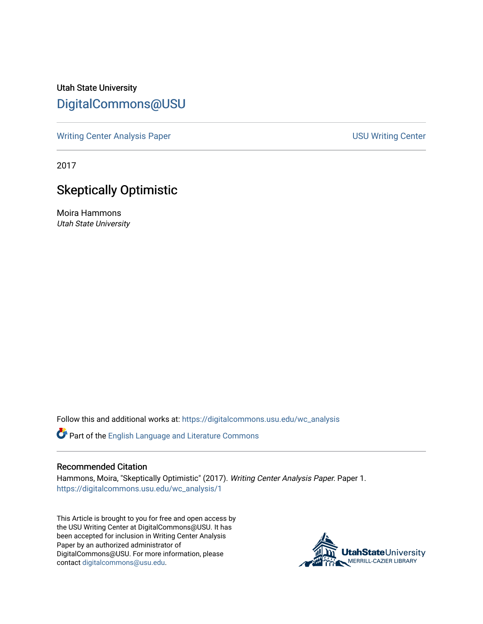Utah State University [DigitalCommons@USU](https://digitalcommons.usu.edu/)

[Writing Center Analysis Paper](https://digitalcommons.usu.edu/wc_analysis) [USU Writing Center](https://digitalcommons.usu.edu/wc) 

2017

## Skeptically Optimistic

Moira Hammons Utah State University

Follow this and additional works at: [https://digitalcommons.usu.edu/wc\\_analysis](https://digitalcommons.usu.edu/wc_analysis?utm_source=digitalcommons.usu.edu%2Fwc_analysis%2F1&utm_medium=PDF&utm_campaign=PDFCoverPages) 

Part of the [English Language and Literature Commons](http://network.bepress.com/hgg/discipline/455?utm_source=digitalcommons.usu.edu%2Fwc_analysis%2F1&utm_medium=PDF&utm_campaign=PDFCoverPages)

## Recommended Citation

Hammons, Moira, "Skeptically Optimistic" (2017). Writing Center Analysis Paper. Paper 1. [https://digitalcommons.usu.edu/wc\\_analysis/1](https://digitalcommons.usu.edu/wc_analysis/1?utm_source=digitalcommons.usu.edu%2Fwc_analysis%2F1&utm_medium=PDF&utm_campaign=PDFCoverPages) 

This Article is brought to you for free and open access by the USU Writing Center at DigitalCommons@USU. It has been accepted for inclusion in Writing Center Analysis Paper by an authorized administrator of DigitalCommons@USU. For more information, please contact [digitalcommons@usu.edu](mailto:digitalcommons@usu.edu).

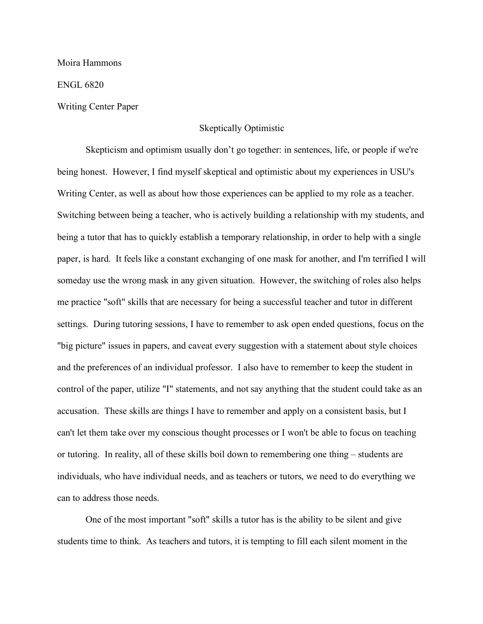Moira Hammons

ENGL 6820

Writing Center Paper

## Skeptically Optimistic

Skepticism and optimism usually don't go together: in sentences, life, or people if we're being honest. However, I find myself skeptical and optimistic about my experiences in USU's Writing Center, as well as about how those experiences can be applied to my role as a teacher. Switching between being a teacher, who is actively building a relationship with my students, and being a tutor that has to quickly establish a temporary relationship, in order to help with a single paper, is hard. It feels like a constant exchanging of one mask for another, and I'm terrified I will someday use the wrong mask in any given situation. However, the switching of roles also helps me practice "soft" skills that are necessary for being a successful teacher and tutor in different settings. During tutoring sessions, I have to remember to ask open ended questions, focus on the "big picture" issues in papers, and caveat every suggestion with a statement about style choices and the preferences of an individual professor. I also have to remember to keep the student in control of the paper, utilize "I" statements, and not say anything that the student could take as an accusation. These skills are things I have to remember and apply on a consistent basis, but I can't let them take over my conscious thought processes or I won't be able to focus on teaching or tutoring. In reality, all of these skills boil down to remembering one thing – students are individuals, who have individual needs, and as teachers or tutors, we need to do everything we can to address those needs.

One of the most important "soft" skills a tutor has is the ability to be silent and give students time to think. As teachers and tutors, it is tempting to fill each silent moment in the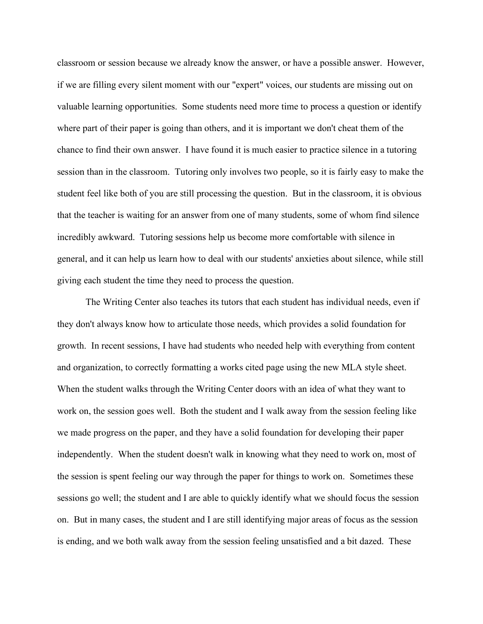classroom or session because we already know the answer, or have a possible answer. However, if we are filling every silent moment with our "expert" voices, our students are missing out on valuable learning opportunities. Some students need more time to process a question or identify where part of their paper is going than others, and it is important we don't cheat them of the chance to find their own answer. I have found it is much easier to practice silence in a tutoring session than in the classroom. Tutoring only involves two people, so it is fairly easy to make the student feel like both of you are still processing the question. But in the classroom, it is obvious that the teacher is waiting for an answer from one of many students, some of whom find silence incredibly awkward. Tutoring sessions help us become more comfortable with silence in general, and it can help us learn how to deal with our students' anxieties about silence, while still giving each student the time they need to process the question.

The Writing Center also teaches its tutors that each student has individual needs, even if they don't always know how to articulate those needs, which provides a solid foundation for growth. In recent sessions, I have had students who needed help with everything from content and organization, to correctly formatting a works cited page using the new MLA style sheet. When the student walks through the Writing Center doors with an idea of what they want to work on, the session goes well. Both the student and I walk away from the session feeling like we made progress on the paper, and they have a solid foundation for developing their paper independently. When the student doesn't walk in knowing what they need to work on, most of the session is spent feeling our way through the paper for things to work on. Sometimes these sessions go well; the student and I are able to quickly identify what we should focus the session on. But in many cases, the student and I are still identifying major areas of focus as the session is ending, and we both walk away from the session feeling unsatisfied and a bit dazed. These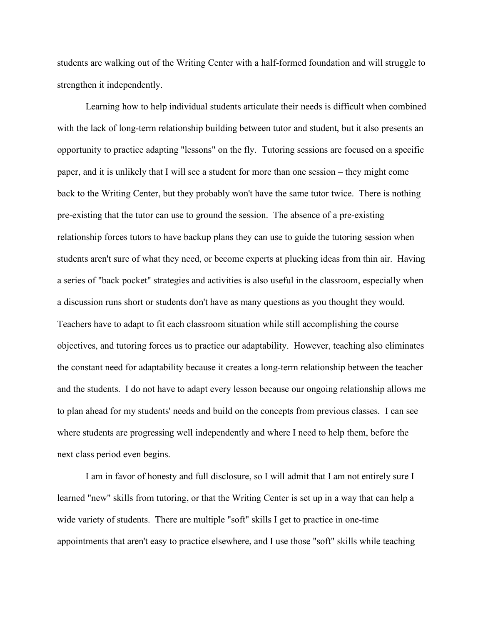students are walking out of the Writing Center with a half-formed foundation and will struggle to strengthen it independently.

Learning how to help individual students articulate their needs is difficult when combined with the lack of long-term relationship building between tutor and student, but it also presents an opportunity to practice adapting "lessons" on the fly. Tutoring sessions are focused on a specific paper, and it is unlikely that I will see a student for more than one session – they might come back to the Writing Center, but they probably won't have the same tutor twice. There is nothing pre-existing that the tutor can use to ground the session. The absence of a pre-existing relationship forces tutors to have backup plans they can use to guide the tutoring session when students aren't sure of what they need, or become experts at plucking ideas from thin air. Having a series of "back pocket" strategies and activities is also useful in the classroom, especially when a discussion runs short or students don't have as many questions as you thought they would. Teachers have to adapt to fit each classroom situation while still accomplishing the course objectives, and tutoring forces us to practice our adaptability. However, teaching also eliminates the constant need for adaptability because it creates a long-term relationship between the teacher and the students. I do not have to adapt every lesson because our ongoing relationship allows me to plan ahead for my students' needs and build on the concepts from previous classes. I can see where students are progressing well independently and where I need to help them, before the next class period even begins.

I am in favor of honesty and full disclosure, so I will admit that I am not entirely sure I learned "new" skills from tutoring, or that the Writing Center is set up in a way that can help a wide variety of students. There are multiple "soft" skills I get to practice in one-time appointments that aren't easy to practice elsewhere, and I use those "soft" skills while teaching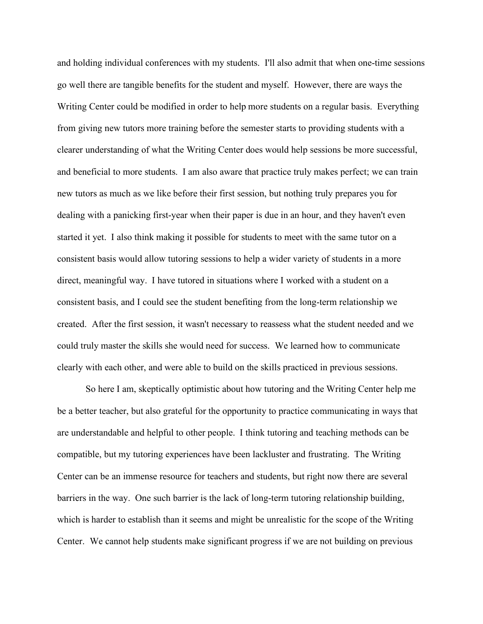and holding individual conferences with my students. I'll also admit that when one-time sessions go well there are tangible benefits for the student and myself. However, there are ways the Writing Center could be modified in order to help more students on a regular basis. Everything from giving new tutors more training before the semester starts to providing students with a clearer understanding of what the Writing Center does would help sessions be more successful, and beneficial to more students. I am also aware that practice truly makes perfect; we can train new tutors as much as we like before their first session, but nothing truly prepares you for dealing with a panicking first-year when their paper is due in an hour, and they haven't even started it yet. I also think making it possible for students to meet with the same tutor on a consistent basis would allow tutoring sessions to help a wider variety of students in a more direct, meaningful way. I have tutored in situations where I worked with a student on a consistent basis, and I could see the student benefiting from the long-term relationship we created. After the first session, it wasn't necessary to reassess what the student needed and we could truly master the skills she would need for success. We learned how to communicate clearly with each other, and were able to build on the skills practiced in previous sessions.

So here I am, skeptically optimistic about how tutoring and the Writing Center help me be a better teacher, but also grateful for the opportunity to practice communicating in ways that are understandable and helpful to other people. I think tutoring and teaching methods can be compatible, but my tutoring experiences have been lackluster and frustrating. The Writing Center can be an immense resource for teachers and students, but right now there are several barriers in the way. One such barrier is the lack of long-term tutoring relationship building, which is harder to establish than it seems and might be unrealistic for the scope of the Writing Center. We cannot help students make significant progress if we are not building on previous